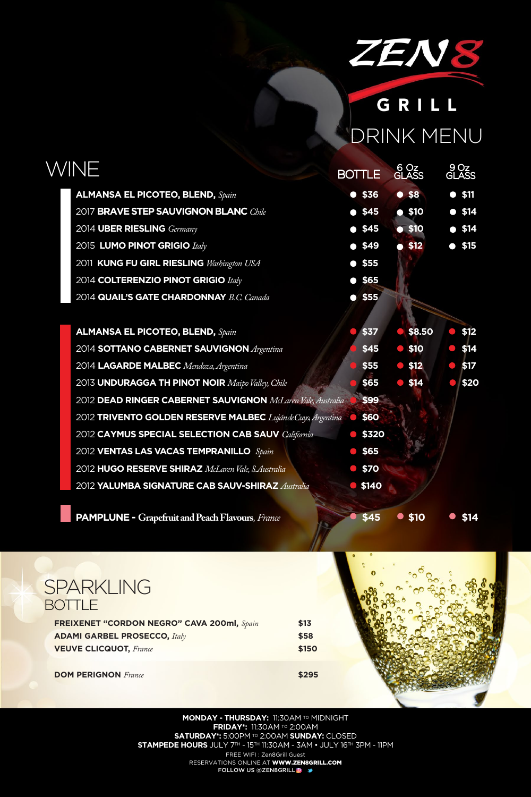

# GRILL DRINK MENU

6 Oz<br>GLASS

**FREIXENET "CORDON NEGRO" CAVA 200ml,** *Spain* **\$13 ADAMI GARBEL PROSECCO,** *Italy* **\$58 VEUVE CLICQUOT,** *France* **\$150**

**DOM PERIGNON** *France* **\$295** 



### **MONDAY - THURSDAY: 11:30AM TO MIDNIGHT FRIDAY\*:** 11:30AM TO 2:00AM **SATURDAY\*:** 5:00PM TO 2:00AM **SUNDAY:** CLOSED **STAMPEDE HOURS** JULY 7TH - 15TH 11:30AM - 3AM • JULY 16TH 3PM - 11PM FREE WIFI : Zen8Grill Guest RESERVATIONS ONLINE AT WWW.ZEN8GRILL.COM

FOLLOW US @ZEN8GRILL<sup>@</sup>

9 Oz **GLASS** 

## WINE BOTTLE

| <b>ALMANSA EL PICOTEO, BLEND, Spain</b>                     | $•$ \$36        | $•$ \$8        |                                | \$11           |
|-------------------------------------------------------------|-----------------|----------------|--------------------------------|----------------|
| 2017 BRAVE STEP SAUVIGNON BLANC Chile                       | • 45            | $\bullet$ \$10 |                                | $\bullet$ \$14 |
| 2014 UBER RIESLING Germany                                  | $•$ \$45        | • \$10         |                                | • 514          |
| 2015 LUMO PINOT GRIGIO Italy                                | $\bullet$ \$49  | $\bullet$ \$12 |                                | $\bullet$ \$15 |
| 2011 KUNG FU GIRL RIESLING Washington USA                   | $•$ \$55        |                |                                |                |
| 2014 COLTERENZIO PINOT GRIGIO Italy                         | $•$ \$65        |                |                                |                |
| 2014 QUAIL'S GATE CHARDONNAY B.C. Canada                    | $•$ \$55        |                |                                |                |
|                                                             |                 |                |                                |                |
| <b>ALMANSA EL PICOTEO, BLEND, Spain</b>                     | \$37            | $•$ \$8.50     | $\langle \cdot, \cdot \rangle$ | \$12           |
| 2014 SOTTANO CABERNET SAUVIGNON Argentina                   | \$45            | $\bullet$ \$10 | $\langle \cdot, \cdot \rangle$ | \$14           |
| 2014 LAGARDE MALBEC Mendoza, Argentina                      | \$55            | $\bullet$ \$12 | $\mathcal{L}(\mathcal{A})$     | \$17           |
| 2013 UNDURAGGA TH PINOT NOIR Maipo Valley, Chile            | \$65            | $\bullet$ \$14 |                                | \$20           |
| 2012 DEAD RINGER CABERNET SAUVIGNON McLaren Vale, Australia | \$99            |                |                                |                |
| 2012 TRIVENTO GOLDEN RESERVE MALBEC LujándeCuyo, Argentina  | \$60            |                |                                |                |
| 2012 CAYMUS SPECIAL SELECTION CAB SAUV California           | \$320           |                |                                |                |
| 2012 VENTAS LAS VACAS TEMPRANILLO Spain                     | \$65            |                |                                |                |
| 2012 HUGO RESERVE SHIRAZ McLaren Vale, S.Australia          | $\bullet$ \$70  |                |                                |                |
| 2012 YALUMBA SIGNATURE CAB SAUV-SHIRAZ Australia            | $\bullet$ \$140 |                |                                |                |
|                                                             |                 |                |                                |                |

**PAMPLUNE -** Grapefruit and Peach Flavours, France **1998 \$45 \$10 \$14** 

## SPARKLING **BOTTLE**